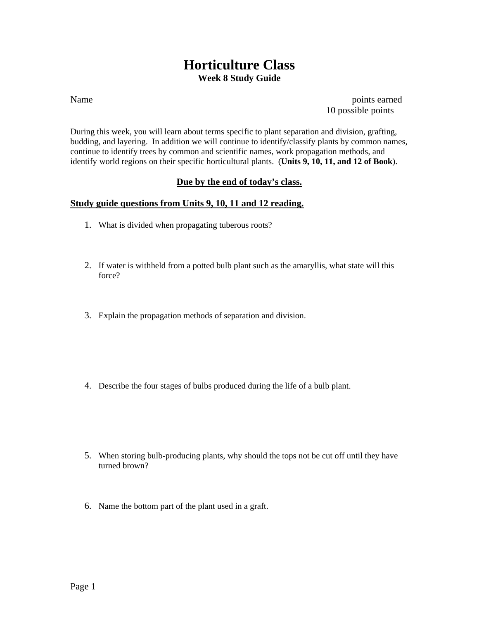## **Horticulture Class Week 8 Study Guide**

points earned 10 possible points

During this week, you will learn about terms specific to plant separation and division, grafting, budding, and layering. In addition we will continue to identify/classify plants by common names, continue to identify trees by common and scientific names, work propagation methods, and identify world regions on their specific horticultural plants. (**Units 9, 10, 11, and 12 of Book**).

## **Due by the end of today's class.**

## **Study guide questions from Units 9, 10, 11 and 12 reading.**

- 1. What is divided when propagating tuberous roots?
- 2. If water is withheld from a potted bulb plant such as the amaryllis, what state will this force?
- 3. Explain the propagation methods of separation and division.
- 4. Describe the four stages of bulbs produced during the life of a bulb plant.
- 5. When storing bulb-producing plants, why should the tops not be cut off until they have turned brown?
- 6. Name the bottom part of the plant used in a graft.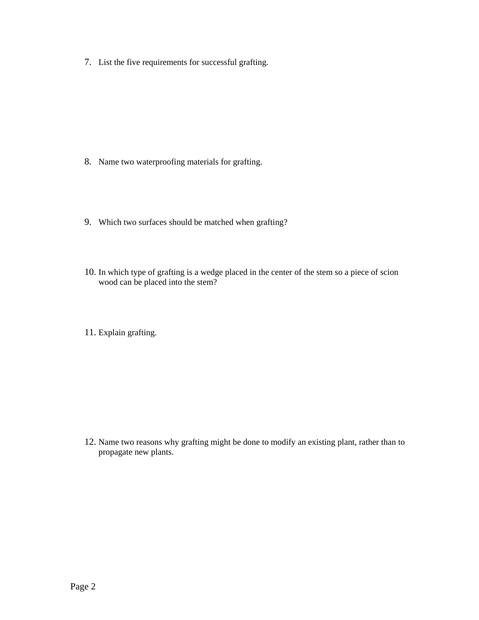7. List the five requirements for successful grafting.

- 8. Name two waterproofing materials for grafting.
- 9. Which two surfaces should be matched when grafting?
- 10. In which type of grafting is a wedge placed in the center of the stem so a piece of scion wood can be placed into the stem?
- 11. Explain grafting.

12. Name two reasons why grafting might be done to modify an existing plant, rather than to propagate new plants.